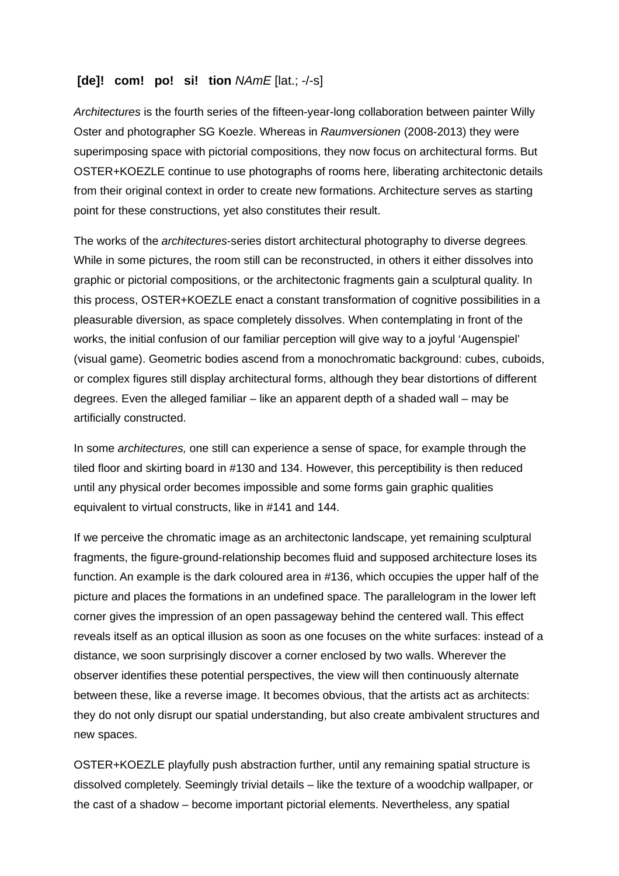## **[de]! com! po! si! tion** *NAmE* [lat.; -/-s]

*Architectures* is the fourth series of the fifteen-year-long collaboration between painter Willy Oster and photographer SG Koezle. Whereas in *Raumversionen* (2008-2013) they were superimposing space with pictorial compositions, they now focus on architectural forms. But OSTER+KOEZLE continue to use photographs of rooms here, liberating architectonic details from their original context in order to create new formations. Architecture serves as starting point for these constructions, yet also constitutes their result.

The works of the *architectures*-series distort architectural photography to diverse degrees. While in some pictures, the room still can be reconstructed, in others it either dissolves into graphic or pictorial compositions, or the architectonic fragments gain a sculptural quality. In this process, OSTER+KOEZLE enact a constant transformation of cognitive possibilities in a pleasurable diversion, as space completely dissolves. When contemplating in front of the works, the initial confusion of our familiar perception will give way to a joyful 'Augenspiel' (visual game). Geometric bodies ascend from a monochromatic background: cubes, cuboids, or complex figures still display architectural forms, although they bear distortions of different degrees. Even the alleged familiar – like an apparent depth of a shaded wall – may be artificially constructed.

In some *architectures,* one still can experience a sense of space, for example through the tiled floor and skirting board in #130 and 134. However, this perceptibility is then reduced until any physical order becomes impossible and some forms gain graphic qualities equivalent to virtual constructs, like in #141 and 144.

If we perceive the chromatic image as an architectonic landscape, yet remaining sculptural fragments, the figure-ground-relationship becomes fluid and supposed architecture loses its function. An example is the dark coloured area in #136, which occupies the upper half of the picture and places the formations in an undefined space. The parallelogram in the lower left corner gives the impression of an open passageway behind the centered wall. This effect reveals itself as an optical illusion as soon as one focuses on the white surfaces: instead of a distance, we soon surprisingly discover a corner enclosed by two walls. Wherever the observer identifies these potential perspectives, the view will then continuously alternate between these, like a reverse image. It becomes obvious, that the artists act as architects: they do not only disrupt our spatial understanding, but also create ambivalent structures and new spaces.

OSTER+KOEZLE playfully push abstraction further, until any remaining spatial structure is dissolved completely. Seemingly trivial details – like the texture of a woodchip wallpaper, or the cast of a shadow – become important pictorial elements. Nevertheless, any spatial